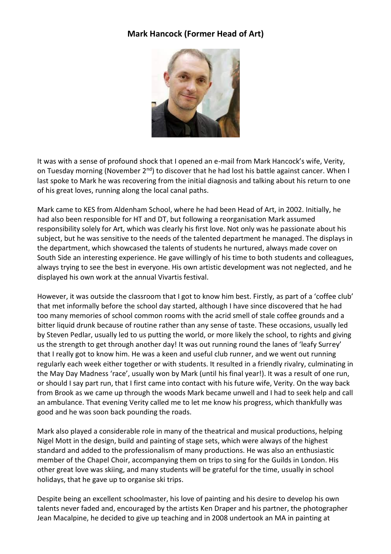## **Mark Hancock (Former Head of Art)**



It was with a sense of profound shock that I opened an e-mail from Mark Hancock's wife, Verity, on Tuesday morning (November 2<sup>nd</sup>) to discover that he had lost his battle against cancer. When I last spoke to Mark he was recovering from the initial diagnosis and talking about his return to one of his great loves, running along the local canal paths.

Mark came to KES from Aldenham School, where he had been Head of Art, in 2002. Initially, he had also been responsible for HT and DT, but following a reorganisation Mark assumed responsibility solely for Art, which was clearly his first love. Not only was he passionate about his subject, but he was sensitive to the needs of the talented department he managed. The displays in the department, which showcased the talents of students he nurtured, always made cover on South Side an interesting experience. He gave willingly of his time to both students and colleagues, always trying to see the best in everyone. His own artistic development was not neglected, and he displayed his own work at the annual Vivartis festival.

However, it was outside the classroom that I got to know him best. Firstly, as part of a 'coffee club' that met informally before the school day started, although I have since discovered that he had too many memories of school common rooms with the acrid smell of stale coffee grounds and a bitter liquid drunk because of routine rather than any sense of taste. These occasions, usually led by Steven Pedlar, usually led to us putting the world, or more likely the school, to rights and giving us the strength to get through another day! It was out running round the lanes of 'leafy Surrey' that I really got to know him. He was a keen and useful club runner, and we went out running regularly each week either together or with students. It resulted in a friendly rivalry, culminating in the May Day Madness 'race', usually won by Mark (until his final year!). It was a result of one run, or should I say part run, that I first came into contact with his future wife, Verity. On the way back from Brook as we came up through the woods Mark became unwell and I had to seek help and call an ambulance. That evening Verity called me to let me know his progress, which thankfully was good and he was soon back pounding the roads.

Mark also played a considerable role in many of the theatrical and musical productions, helping Nigel Mott in the design, build and painting of stage sets, which were always of the highest standard and added to the professionalism of many productions. He was also an enthusiastic member of the Chapel Choir, accompanying them on trips to sing for the Guilds in London. His other great love was skiing, and many students will be grateful for the time, usually in school holidays, that he gave up to organise ski trips.

Despite being an excellent schoolmaster, his love of painting and his desire to develop his own talents never faded and, encouraged by the artists Ken Draper and his partner, the photographer Jean Macalpine, he decided to give up teaching and in 2008 undertook an MA in painting at